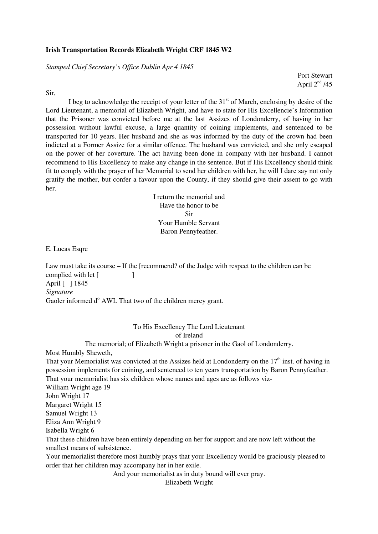## **Irish Transportation Records Elizabeth Wright CRF 1845 W2**

*Stamped Chief Secretary's Office Dublin Apr 4 1845* 

Port Stewart April  $2<sup>nd</sup>$  /45

Sir,

I beg to acknowledge the receipt of your letter of the  $31<sup>st</sup>$  of March, enclosing by desire of the Lord Lieutenant, a memorial of Elizabeth Wright, and have to state for His Excellencie's Information that the Prisoner was convicted before me at the last Assizes of Londonderry, of having in her possession without lawful excuse, a large quantity of coining implements, and sentenced to be transported for 10 years. Her husband and she as was informed by the duty of the crown had been indicted at a Former Assize for a similar offence. The husband was convicted, and she only escaped on the power of her coverture. The act having been done in company with her husband. I cannot recommend to His Excellency to make any change in the sentence. But if His Excellency should think fit to comply with the prayer of her Memorial to send her children with her, he will I dare say not only gratify the mother, but confer a favour upon the County, if they should give their assent to go with her.

> I return the memorial and Have the honor to be Sir Your Humble Servant Baron Pennyfeather.

E. Lucas Esqre

Law must take its course – If the [recommend? of the Judge with respect to the children can be complied with let [ April [ ] 1845 *Signature*  Gaoler informed d<sup>o</sup> AWL That two of the children mercy grant.

> To His Excellency The Lord Lieutenant of Ireland

The memorial; of Elizabeth Wright a prisoner in the Gaol of Londonderry.

Most Humbly Sheweth,

That your Memorialist was convicted at the Assizes held at Londonderry on the  $17<sup>th</sup>$  inst. of having in possession implements for coining, and sentenced to ten years transportation by Baron Pennyfeather. That your memorialist has six children whose names and ages are as follows viz-

William Wright age 19

John Wright 17

Margaret Wright 15

Samuel Wright 13

Eliza Ann Wright 9

Isabella Wright 6

That these children have been entirely depending on her for support and are now left without the smallest means of subsistence.

Your memorialist therefore most humbly prays that your Excellency would be graciously pleased to order that her children may accompany her in her exile.

And your memorialist as in duty bound will ever pray.

Elizabeth Wright